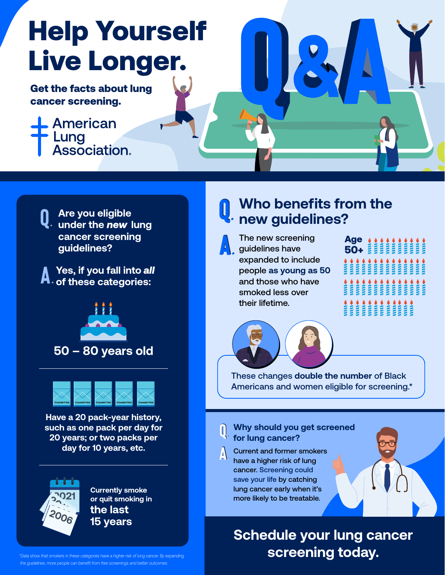# Help Yourself Live Longer.

Get the facts about lung cancer screening.

# American Lung<br>Association.



**Are you eligible under the** *new* **lung cancer screening guidelines?**

**Yes, if you fall into** *all* **of these categories:**





**Have a 20 pack-year history, such as one pack per day for 20 years; or two packs per day for 10 years, etc.**



**Currently smoke or quit smoking in the last 15 years**

#### *the guidelines, more people can benefit from free screenings and better outcomes.*

#### **Who benefits from the new guidelines?**



The new screening guidelines have expanded to include people **as young as 50** and those who have smoked less over their lifetime.





These changes **double the number** of Black Americans and women eligible for screening.\*

#### **Why should you get screened for lung cancer?**

Current and former smokers have a higher risk of lung cancer. Screening could save your life by catching lung cancer early when it's more likely to be treatable.

### **Schedule your lung cancer**  *\*Data show that smokers in these categories have a higher risk of lung cancer. By expanding* **inclusion to the screening today.**